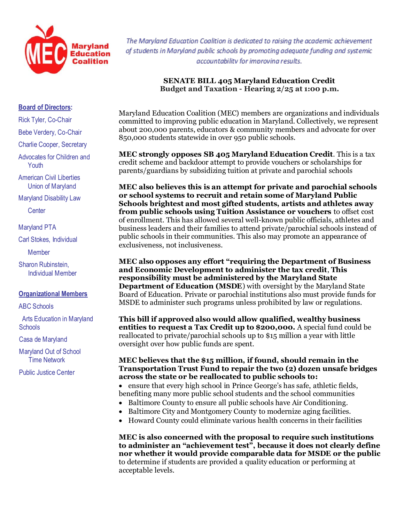

The Maryland Education Coalition is dedicated to raising the academic achievement of students in Maryland public schools by promoting adequate funding and systemic accountability for improvina results.

## **SENATE BILL 405 Maryland Education Credit Budget and Taxation - Hearing 2/25 at 1:00 p.m.**

## **Board of Directors:**

Rick Tyler, Co-Chair

Bebe Verdery, Co-Chair

Charlie Cooper, Secretary

Advocates for Children and **Youth** 

American Civil Liberties Union of Maryland

Maryland Disability Law

**Center** 

Maryland PTA

Carl Stokes, Individual

**Member** 

Sharon Rubinstein, Individual Member

## **Organizational Members**

ABC Schools

 Arts Education in Maryland **Schools** 

Casa de Maryland

Maryland Out of School Time Network

Public Justice Center

Maryland Education Coalition (MEC) members are organizations and individuals committed to improving public education in Maryland. Collectively, we represent about 200,000 parents, educators & community members and advocate for over 850,000 students statewide in over 950 public schools.

**MEC strongly opposes SB 405 Maryland Education Credit**. This is a tax credit scheme and backdoor attempt to provide vouchers or scholarships for parents/guardians by subsidizing tuition at private and parochial schools

**MEC also believes this is an attempt for private and parochial schools or school systems to recruit and retain some of Maryland Public Schools brightest and most gifted students, artists and athletes away from public schools using Tuition Assistance or vouchers** to offset cost of enrollment. This has allowed several well-known public officials, athletes and business leaders and their families to attend private/parochial schools instead of public schools in their communities. This also may promote an appearance of exclusiveness, not inclusiveness.

**MEC also opposes any effort "requiring the Department of Business and Economic Development to administer the tax credit**, **This responsibility must be administered by the Maryland State Department of Education (MSDE**) with oversight by the Maryland State Board of Education. Private or parochial institutions also must provide funds for MSDE to administer such programs unless prohibited by law or regulations.

**This bill if approved also would allow qualified, wealthy business entities to request a Tax Credit up to \$200,000.** A special fund could be reallocated to private/parochial schools up to \$15 million a year with little oversight over how public funds are spent.

## **MEC believes that the \$15 million, if found, should remain in the Transportation Trust Fund to repair the two (2) dozen unsafe bridges across the state or be reallocated to public schools to:**

 ensure that every high school in Prince George's has safe, athletic fields, benefiting many more public school students and the school communities

- Baltimore County to ensure all public schools have Air Conditioning.
- Baltimore City and Montgomery County to modernize aging facilities.
- Howard County could eliminate various health concerns in their facilities

**MEC is also concerned with the proposal to require such institutions to administer an "achievement test", because it does not clearly define nor whether it would provide comparable data for MSDE or the public** to determine if students are provided a quality education or performing at acceptable levels.